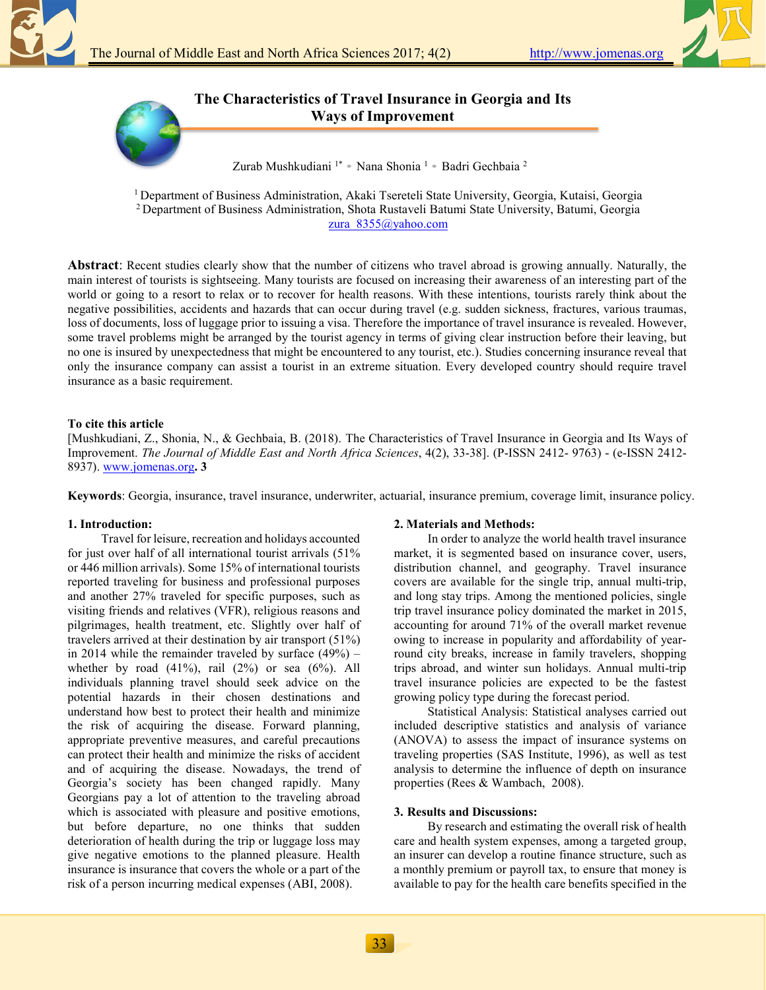

**The Characteristics of Travel Insurance in Georgia and Its Ways of Improvement** 

Zurab Mushkudiani  $1^*$  • Nana Shonia  $1$  • Badri Gechbaia <sup>2</sup>

<sup>1</sup> Department of Business Administration, Akaki Tsereteli State University, Georgia, Kutaisi, Georgia <sup>2</sup> Department of Business Administration, Shota Rustaveli Batumi State University, Batumi, Georgia zura\_8355@yahoo.com

**Abstract**: Recent studies clearly show that the number of citizens who travel abroad is growing annually. Naturally, the main interest of tourists is sightseeing. Many tourists are focused on increasing their awareness of an interesting part of the world or going to a resort to relax or to recover for health reasons. With these intentions, tourists rarely think about the negative possibilities, accidents and hazards that can occur during travel (e.g. sudden sickness, fractures, various traumas, loss of documents, loss of luggage prior to issuing a visa. Therefore the importance of travel insurance is revealed. However, some travel problems might be arranged by the tourist agency in terms of giving clear instruction before their leaving, but no one is insured by unexpectedness that might be encountered to any tourist, etc.). Studies concerning insurance reveal that only the insurance company can assist a tourist in an extreme situation. Every developed country should require travel insurance as a basic requirement.

## **To cite this article**

[Mushkudiani, Z., Shonia, N., & Gechbaia, B. (2018). The Characteristics of Travel Insurance in Georgia and Its Ways of Improvement. *The Journal of Middle East and North Africa Sciences*, 4(2), 33-38]. (P-ISSN 2412- 9763) - (e-ISSN 2412- 8937). www.jomenas.org**. 3**

**Keywords**: Georgia, insurance, travel insurance, underwriter, actuarial, insurance premium, coverage limit, insurance policy.

### **1. Introduction:**

Travel for leisure, recreation and holidays accounted for just over half of all international tourist arrivals (51% or 446 million arrivals). Some 15% of international tourists reported traveling for business and professional purposes and another 27% traveled for specific purposes, such as visiting friends and relatives (VFR), religious reasons and pilgrimages, health treatment, etc. Slightly over half of travelers arrived at their destination by air transport (51%) in 2014 while the remainder traveled by surface  $(49\%)$  – whether by road  $(41\%)$ , rail  $(2\%)$  or sea  $(6\%)$ . All individuals planning travel should seek advice on the potential hazards in their chosen destinations and understand how best to protect their health and minimize the risk of acquiring the disease. Forward planning, appropriate preventive measures, and careful precautions can protect their health and minimize the risks of accident and of acquiring the disease. Nowadays, the trend of Georgia's society has been changed rapidly. Many Georgians pay a lot of attention to the traveling abroad which is associated with pleasure and positive emotions, but before departure, no one thinks that sudden deterioration of health during the trip or luggage loss may give negative emotions to the planned pleasure. Health insurance is insurance that covers the whole or a part of the risk of a person incurring medical expenses (ABI, 2008).

### **2. Materials and Methods:**

In order to analyze the world health travel insurance market, it is segmented based on insurance cover, users, distribution channel, and geography. Travel insurance covers are available for the single trip, annual multi-trip, and long stay trips. Among the mentioned policies, single trip travel insurance policy dominated the market in 2015, accounting for around 71% of the overall market revenue owing to increase in popularity and affordability of yearround city breaks, increase in family travelers, shopping trips abroad, and winter sun holidays. Annual multi-trip travel insurance policies are expected to be the fastest growing policy type during the forecast period.

Statistical Analysis: Statistical analyses carried out included descriptive statistics and analysis of variance (ANOVA) to assess the impact of insurance systems on traveling properties (SAS Institute, 1996), as well as test analysis to determine the influence of depth on insurance properties (Rees & Wambach, 2008).

### **3. Results and Discussions:**

By research and estimating the overall risk of health care and health system expenses, among a targeted group, an insurer can develop a routine finance structure, such as a monthly premium or payroll tax, to ensure that money is available to pay for the health care benefits specified in the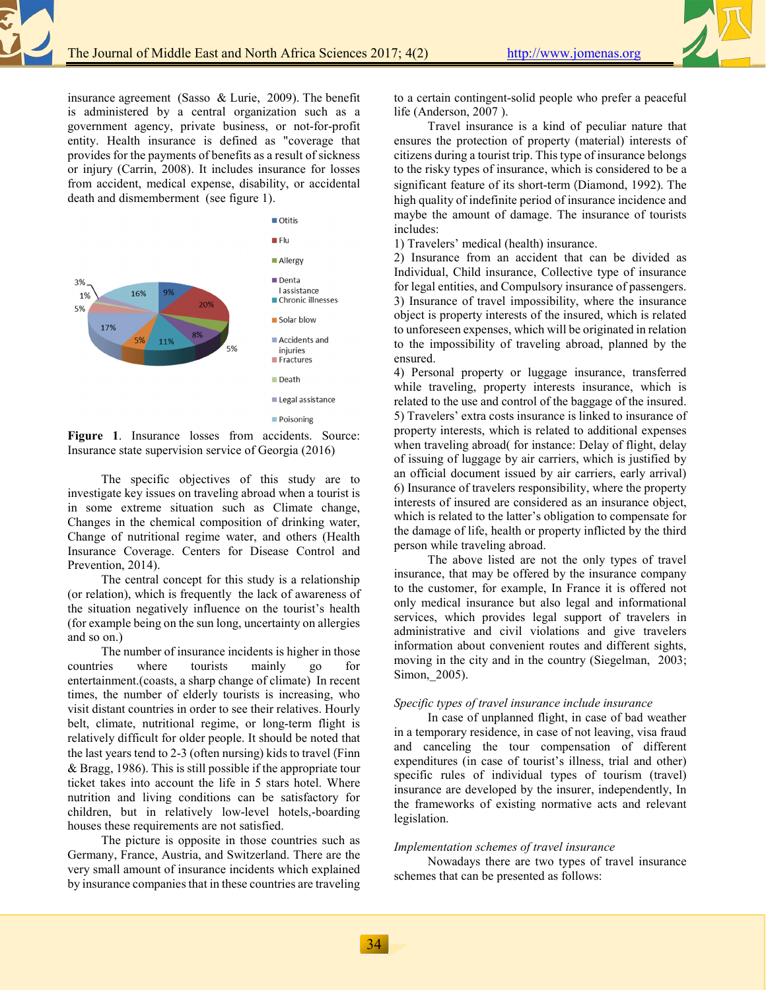insurance agreement (Sasso & Lurie, 2009). The benefit is administered by a central organization such as a government agency, private business, or not-for-profit entity. Health insurance is defined as "coverage that provides for the payments of benefits as a result of sickness or injury (Carrin, 2008). It includes insurance for losses from accident, medical expense, disability, or accidental death and dismemberment (see figure 1).



Figure 1. Insurance losses from accidents. Source: Insurance state supervision service of Georgia (2016)

The specific objectives of this study are to investigate key issues on traveling abroad when a tourist is in some extreme situation such as Climate change, Changes in the chemical composition of drinking water, Change of nutritional regime water, and others (Health Insurance Coverage. Centers for Disease Control and Prevention, 2014).

The central concept for this study is a relationship (or relation), which is frequently the lack of awareness of the situation negatively influence on the tourist's health (for example being on the sun long, uncertainty on allergies and so on.)

The number of insurance incidents is higher in those countries where tourists mainly go for entertainment.(coasts, a sharp change of climate) In recent times, the number of elderly tourists is increasing, who visit distant countries in order to see their relatives. Hourly belt, climate, nutritional regime, or long-term flight is relatively difficult for older people. It should be noted that the last years tend to 2-3 (often nursing) kids to travel (Finn & Bragg, 1986). This is still possible if the appropriate tour ticket takes into account the life in 5 stars hotel. Where nutrition and living conditions can be satisfactory for children, but in relatively low-level hotels,-boarding houses these requirements are not satisfied.

The picture is opposite in those countries such as Germany, France, Austria, and Switzerland. There are the very small amount of insurance incidents which explained by insurance companies that in these countries are traveling to a certain contingent-solid people who prefer a peaceful life (Anderson, 2007 ).

Travel insurance is a kind of peculiar nature that ensures the protection of property (material) interests of citizens during a tourist trip. This type of insurance belongs to the risky types of insurance, which is considered to be a significant feature of its short-term (Diamond, 1992). The high quality of indefinite period of insurance incidence and maybe the amount of damage. The insurance of tourists includes:

1) Travelers' medical (health) insurance.

2) Insurance from an accident that can be divided as Individual, Child insurance, Collective type of insurance for legal entities, and Compulsory insurance of passengers. 3) Insurance of travel impossibility, where the insurance object is property interests of the insured, which is related to unforeseen expenses, which will be originated in relation to the impossibility of traveling abroad, planned by the ensured.

4) Personal property or luggage insurance, transferred while traveling, property interests insurance, which is related to the use and control of the baggage of the insured. 5) Travelers' extra costs insurance is linked to insurance of property interests, which is related to additional expenses when traveling abroad( for instance: Delay of flight, delay of issuing of luggage by air carriers, which is justified by an official document issued by air carriers, early arrival) 6) Insurance of travelers responsibility, where the property interests of insured are considered as an insurance object, which is related to the latter's obligation to compensate for the damage of life, health or property inflicted by the third person while traveling abroad.

The above listed are not the only types of travel insurance, that may be offered by the insurance company to the customer, for example, In France it is offered not only medical insurance but also legal and informational services, which provides legal support of travelers in administrative and civil violations and give travelers information about convenient routes and different sights, moving in the city and in the country (Siegelman, 2003; Simon, 2005).

# *Specific types of travel insurance include insurance*

In case of unplanned flight, in case of bad weather in a temporary residence, in case of not leaving, visa fraud and canceling the tour compensation of different expenditures (in case of tourist's illness, trial and other) specific rules of individual types of tourism (travel) insurance are developed by the insurer, independently, In the frameworks of existing normative acts and relevant legislation.

### *Implementation schemes of travel insurance*

Nowadays there are two types of travel insurance schemes that can be presented as follows: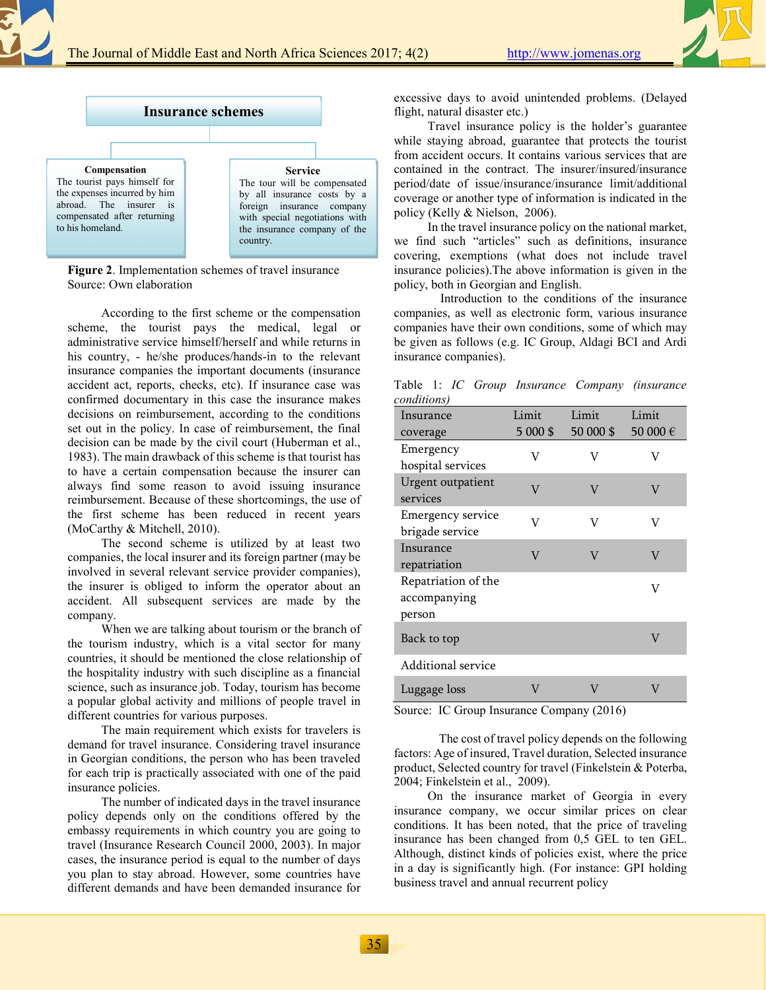



**Figure 2**. Implementation schemes of travel insurance Source: Own elaboration

According to the first scheme or the compensation scheme, the tourist pays the medical, legal or administrative service himself/herself and while returns in his country, - he/she produces/hands-in to the relevant insurance companies the important documents (insurance accident act, reports, checks, etc). If insurance case was confirmed documentary in this case the insurance makes decisions on reimbursement, according to the conditions set out in the policy. In case of reimbursement, the final decision can be made by the civil court (Huberman et al., 1983). The main drawback of this scheme is that tourist has to have a certain compensation because the insurer can always find some reason to avoid issuing insurance reimbursement. Because of these shortcomings, the use of the first scheme has been reduced in recent years (MoCarthy & Mitchell, 2010).

The second scheme is utilized by at least two companies, the local insurer and its foreign partner (may be involved in several relevant service provider companies), the insurer is obliged to inform the operator about an accident. All subsequent services are made by the company.

When we are talking about tourism or the branch of the tourism industry, which is a vital sector for many countries, it should be mentioned the close relationship of the hospitality industry with such discipline as a financial science, such as insurance job. Today, tourism has become a popular global activity and millions of people travel in different countries for various purposes.

The main requirement which exists for travelers is demand for travel insurance. Considering travel insurance in Georgian conditions, the person who has been traveled for each trip is practically associated with one of the paid insurance policies.

The number of indicated days in the travel insurance policy depends only on the conditions offered by the embassy requirements in which country you are going to travel (Insurance Research Council 2000, 2003). In major cases, the insurance period is equal to the number of days you plan to stay abroad. However, some countries have different demands and have been demanded insurance for excessive days to avoid unintended problems. (Delayed flight, natural disaster etc.)

Travel insurance policy is the holder's guarantee while staying abroad, guarantee that protects the tourist from accident occurs. It contains various services that are contained in the contract. The insurer/insured/insurance period/date of issue/insurance/insurance limit/additional coverage or another type of information is indicated in the policy (Kelly & Nielson, 2006).

In the travel insurance policy on the national market, we find such "articles" such as definitions, insurance covering, exemptions (what does not include travel insurance policies).The above information is given in the policy, both in Georgian and English.

 Introduction to the conditions of the insurance companies, as well as electronic form, various insurance companies have their own conditions, some of which may be given as follows (e.g. IC Group, Aldagi BCI and Ardi insurance companies).

Table 1: *IC Group Insurance Company (insurance conditions)*

| conditions)                          |          |           |          |
|--------------------------------------|----------|-----------|----------|
| Insurance                            | Limit    | Limit     | Limit    |
| coverage                             | 5 000 \$ | 50 000 \$ | 50 000 € |
| Emergency                            | V        | V         | V        |
| hospital services                    |          |           |          |
| Urgent outpatient<br>services        | V        | V         | V        |
| Emergency service<br>brigade service | V        | V         | V        |
| Insurance<br>repatriation            | V        | V         | V        |
| Repatriation of the<br>accompanying  |          |           | V        |
| person                               |          |           |          |
| Back to top                          |          |           | V        |
| Additional service                   |          |           |          |
| Luggage loss                         | V        | V         | V        |

Source: IC Group Insurance Company (2016)

The cost of travel policy depends on the following factors: Age of insured, Travel duration, Selected insurance product, Selected country for travel (Finkelstein & Poterba, 2004; Finkelstein et al., 2009).

On the insurance market of Georgia in every insurance company, we occur similar prices on clear conditions. It has been noted, that the price of traveling insurance has been changed from 0,5 GEL to ten GEL. Although, distinct kinds of policies exist, where the price in a day is significantly high. (For instance: GPI holding business travel and annual recurrent policy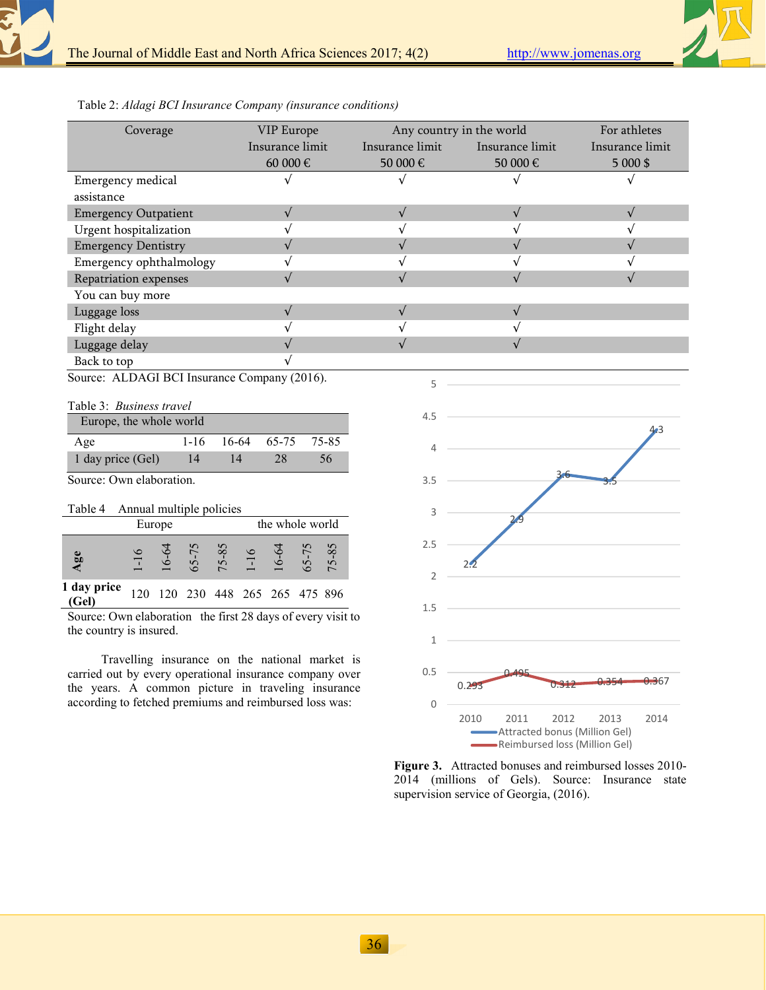

Table 2: *Aldagi BCI Insurance Company (insurance conditions)*

| Coverage                    | VIP Europe      | Any country in the world | For athletes    |                 |
|-----------------------------|-----------------|--------------------------|-----------------|-----------------|
|                             | Insurance limit | Insurance limit          | Insurance limit | Insurance limit |
|                             | 60 000 €        | 50 000 €                 | 50 000 €        | $5000$ \$       |
| Emergency medical           |                 |                          |                 |                 |
| assistance                  |                 |                          |                 |                 |
| <b>Emergency Outpatient</b> |                 |                          |                 |                 |
| Urgent hospitalization      |                 |                          |                 |                 |
| <b>Emergency Dentistry</b>  |                 |                          |                 |                 |
| Emergency ophthalmology     |                 |                          |                 |                 |
| Repatriation expenses       |                 |                          |                 |                 |
| You can buy more            |                 |                          |                 |                 |
| Luggage loss                |                 |                          |                 |                 |
| Flight delay                |                 |                          |                 |                 |
| Luggage delay               |                 |                          |                 |                 |
| Back to top                 |                 |                          |                 |                 |

5

Source: ALDAGI BCI Insurance Company (2016).

|  | Table 3: Business travel |  |
|--|--------------------------|--|
|--|--------------------------|--|

| Europe, the whole world |        |    |             |       |  |
|-------------------------|--------|----|-------------|-------|--|
| Age                     | $1-16$ |    | 16-64 65-75 | 75-85 |  |
| 1 day price (Gel)       | 14     | 14 | 28          | 56    |  |

Source: Own elaboration.

| Table 4              |          |  | Annual multiple policies |                                   |  |                    |  |
|----------------------|----------|--|--------------------------|-----------------------------------|--|--------------------|--|
| Europe               |          |  |                          | the whole world                   |  |                    |  |
| Age                  | $1 - 16$ |  |                          | $65-75$<br>75-85<br>1-16<br>16-64 |  | $65 - 75$<br>75-85 |  |
| 1 day price<br>(Gel) | 120      |  |                          | 120 230 448 265 265 475 896       |  |                    |  |

Source: Own elaboration the first 28 days of every visit to the country is insured.

Travelling insurance on the national market is carried out by every operational insurance company over the years. A common picture in traveling insurance according to fetched premiums and reimbursed loss was:



**Figure 3.** Attracted bonuses and reimbursed losses 2010- 2014 (millions of Gels). Source: Insurance state supervision service of Georgia, (2016).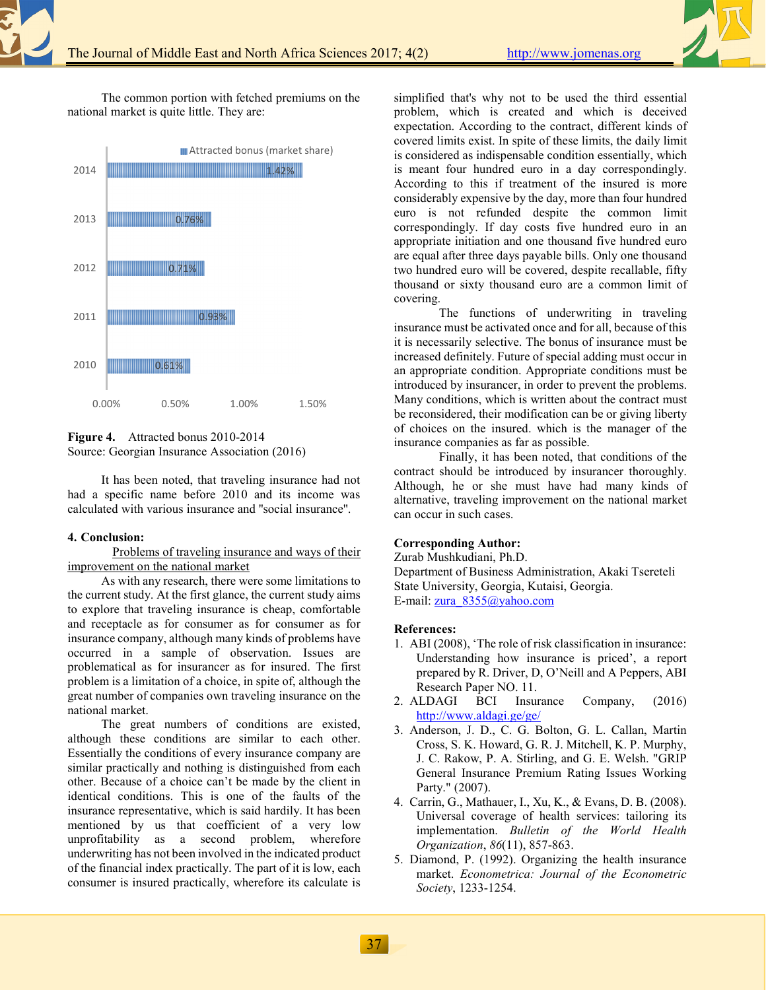The common portion with fetched premiums on the national market is quite little. They are:





It has been noted, that traveling insurance had not had a specific name before 2010 and its income was calculated with various insurance and ''social insurance''.

### **4. Conclusion:**

Problems of traveling insurance and ways of their improvement on the national market

As with any research, there were some limitations to the current study. At the first glance, the current study aims to explore that traveling insurance is cheap, comfortable and receptacle as for consumer as for consumer as for insurance company, although many kinds of problems have occurred in a sample of observation. Issues are problematical as for insurancer as for insured. The first problem is a limitation of a choice, in spite of, although the great number of companies own traveling insurance on the national market.

The great numbers of conditions are existed, although these conditions are similar to each other. Essentially the conditions of every insurance company are similar practically and nothing is distinguished from each other. Because of a choice can't be made by the client in identical conditions. This is one of the faults of the insurance representative, which is said hardily. It has been mentioned by us that coefficient of a very low unprofitability as a second problem, wherefore underwriting has not been involved in the indicated product of the financial index practically. The part of it is low, each consumer is insured practically, wherefore its calculate is

simplified that's why not to be used the third essential problem, which is created and which is deceived expectation. According to the contract, different kinds of covered limits exist. In spite of these limits, the daily limit is considered as indispensable condition essentially, which is meant four hundred euro in a day correspondingly. According to this if treatment of the insured is more considerably expensive by the day, more than four hundred euro is not refunded despite the common limit correspondingly. If day costs five hundred euro in an appropriate initiation and one thousand five hundred euro are equal after three days payable bills. Only one thousand two hundred euro will be covered, despite recallable, fifty thousand or sixty thousand euro are a common limit of covering.

 The functions of underwriting in traveling insurance must be activated once and for all, because of this it is necessarily selective. The bonus of insurance must be increased definitely. Future of special adding must occur in an appropriate condition. Appropriate conditions must be introduced by insurancer, in order to prevent the problems. Many conditions, which is written about the contract must be reconsidered, their modification can be or giving liberty of choices on the insured. which is the manager of the insurance companies as far as possible.

 Finally, it has been noted, that conditions of the contract should be introduced by insurancer thoroughly. Although, he or she must have had many kinds of alternative, traveling improvement on the national market can occur in such cases.

### **Corresponding Author:**

Zurab Mushkudiani, Ph.D. Department of Business Administration, Akaki Tsereteli State University, Georgia, Kutaisi, Georgia. E-mail: zura\_8355@yahoo.com

#### **References:**

- 1. ABI (2008), 'The role of risk classification in insurance: Understanding how insurance is priced', a report prepared by R. Driver, D, O'Neill and A Peppers, ABI Research Paper NO. 11.<br>LDAGI BCI Insurance
- 2. ALDAGI BCI Insurance Company, (2016) http://www.aldagi.ge/ge/
- 3.\_Anderson, J. D., C. G. Bolton, G. L. Callan, Martin Cross, S. K. Howard, G. R. J. Mitchell, K. P. Murphy, J. C. Rakow, P. A. Stirling, and G. E. Welsh. "GRIP General Insurance Premium Rating Issues Working Party." (2007).
- 4.\_Carrin, G., Mathauer, I., Xu, K., & Evans, D. B. (2008). Universal coverage of health services: tailoring its implementation. *Bulletin of the World Health Organization*, *86*(11), 857-863.
- 5. Diamond, P. (1992). Organizing the health insurance market. *Econometrica: Journal of the Econometric Society*, 1233-1254.